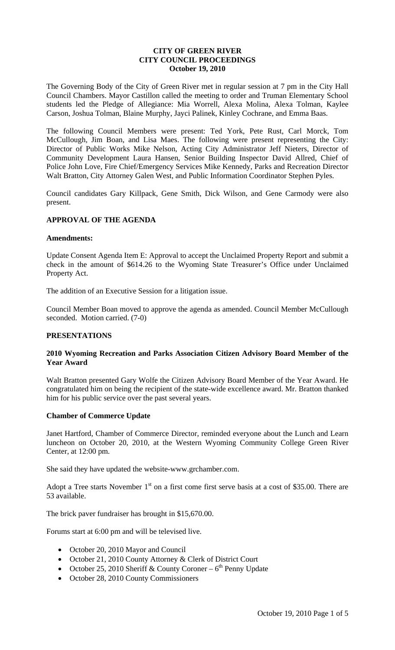## **CITY OF GREEN RIVER CITY COUNCIL PROCEEDINGS October 19, 2010**

The Governing Body of the City of Green River met in regular session at 7 pm in the City Hall Council Chambers. Mayor Castillon called the meeting to order and Truman Elementary School students led the Pledge of Allegiance: Mia Worrell, Alexa Molina, Alexa Tolman, Kaylee Carson, Joshua Tolman, Blaine Murphy, Jayci Palinek, Kinley Cochrane, and Emma Baas.

The following Council Members were present: Ted York, Pete Rust, Carl Morck, Tom McCullough, Jim Boan, and Lisa Maes. The following were present representing the City: Director of Public Works Mike Nelson, Acting City Administrator Jeff Nieters, Director of Community Development Laura Hansen, Senior Building Inspector David Allred, Chief of Police John Love, Fire Chief/Emergency Services Mike Kennedy, Parks and Recreation Director Walt Bratton, City Attorney Galen West, and Public Information Coordinator Stephen Pyles.

Council candidates Gary Killpack, Gene Smith, Dick Wilson, and Gene Carmody were also present.

## **APPROVAL OF THE AGENDA**

#### **Amendments:**

Update Consent Agenda Item E: Approval to accept the Unclaimed Property Report and submit a check in the amount of \$614.26 to the Wyoming State Treasurer's Office under Unclaimed Property Act.

The addition of an Executive Session for a litigation issue.

Council Member Boan moved to approve the agenda as amended. Council Member McCullough seconded. Motion carried. (7-0)

#### **PRESENTATIONS**

## **2010 Wyoming Recreation and Parks Association Citizen Advisory Board Member of the Year Award**

Walt Bratton presented Gary Wolfe the Citizen Advisory Board Member of the Year Award. He congratulated him on being the recipient of the state-wide excellence award. Mr. Bratton thanked him for his public service over the past several years.

#### **Chamber of Commerce Update**

Janet Hartford, Chamber of Commerce Director, reminded everyone about the Lunch and Learn luncheon on October 20, 2010, at the Western Wyoming Community College Green River Center, at 12:00 pm.

She said they have updated the website-www.grchamber.com.

Adopt a Tree starts November  $1<sup>st</sup>$  on a first come first serve basis at a cost of \$35.00. There are 53 available.

The brick paver fundraiser has brought in \$15,670.00.

Forums start at 6:00 pm and will be televised live.

- October 20, 2010 Mayor and Council
- October 21, 2010 County Attorney & Clerk of District Court
- October 25, 2010 Sheriff & County Coroner  $6<sup>th</sup>$  Penny Update
- October 28, 2010 County Commissioners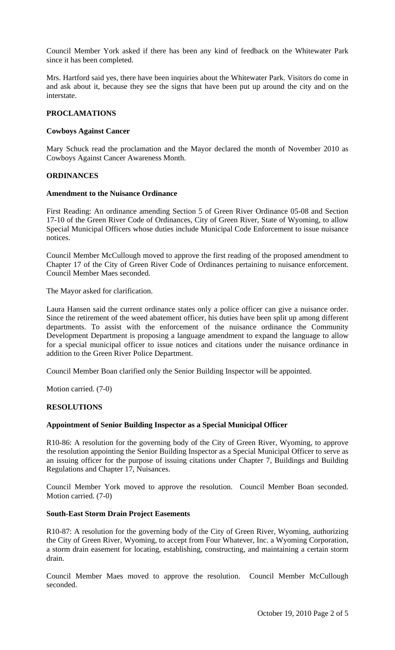Council Member York asked if there has been any kind of feedback on the Whitewater Park since it has been completed.

Mrs. Hartford said yes, there have been inquiries about the Whitewater Park. Visitors do come in and ask about it, because they see the signs that have been put up around the city and on the interstate.

#### **PROCLAMATIONS**

#### **Cowboys Against Cancer**

Mary Schuck read the proclamation and the Mayor declared the month of November 2010 as Cowboys Against Cancer Awareness Month.

#### **ORDINANCES**

#### **Amendment to the Nuisance Ordinance**

First Reading: An ordinance amending Section 5 of Green River Ordinance 05-08 and Section 17-10 of the Green River Code of Ordinances, City of Green River, State of Wyoming, to allow Special Municipal Officers whose duties include Municipal Code Enforcement to issue nuisance notices.

Council Member McCullough moved to approve the first reading of the proposed amendment to Chapter 17 of the City of Green River Code of Ordinances pertaining to nuisance enforcement. Council Member Maes seconded.

The Mayor asked for clarification.

Laura Hansen said the current ordinance states only a police officer can give a nuisance order. Since the retirement of the weed abatement officer, his duties have been split up among different departments. To assist with the enforcement of the nuisance ordinance the Community Development Department is proposing a language amendment to expand the language to allow for a special municipal officer to issue notices and citations under the nuisance ordinance in addition to the Green River Police Department.

Council Member Boan clarified only the Senior Building Inspector will be appointed.

Motion carried. (7-0)

#### **RESOLUTIONS**

## **Appointment of Senior Building Inspector as a Special Municipal Officer**

R10-86: A resolution for the governing body of the City of Green River, Wyoming, to approve the resolution appointing the Senior Building Inspector as a Special Municipal Officer to serve as an issuing officer for the purpose of issuing citations under Chapter 7, Buildings and Building Regulations and Chapter 17, Nuisances.

Council Member York moved to approve the resolution. Council Member Boan seconded. Motion carried. (7-0)

#### **South-East Storm Drain Project Easements**

R10-87: A resolution for the governing body of the City of Green River, Wyoming, authorizing the City of Green River, Wyoming, to accept from Four Whatever, Inc. a Wyoming Corporation, a storm drain easement for locating, establishing, constructing, and maintaining a certain storm drain.

Council Member Maes moved to approve the resolution. Council Member McCullough seconded.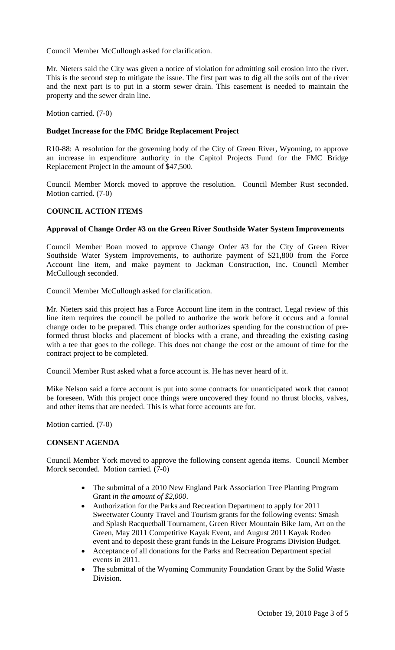Council Member McCullough asked for clarification.

Mr. Nieters said the City was given a notice of violation for admitting soil erosion into the river. This is the second step to mitigate the issue. The first part was to dig all the soils out of the river and the next part is to put in a storm sewer drain. This easement is needed to maintain the property and the sewer drain line.

Motion carried. (7-0)

## **Budget Increase for the FMC Bridge Replacement Project**

R10-88: A resolution for the governing body of the City of Green River, Wyoming, to approve an increase in expenditure authority in the Capitol Projects Fund for the FMC Bridge Replacement Project in the amount of \$47,500.

Council Member Morck moved to approve the resolution. Council Member Rust seconded. Motion carried. (7-0)

## **COUNCIL ACTION ITEMS**

## **Approval of Change Order #3 on the Green River Southside Water System Improvements**

Council Member Boan moved to approve Change Order #3 for the City of Green River Southside Water System Improvements, to authorize payment of \$21,800 from the Force Account line item, and make payment to Jackman Construction, Inc. Council Member McCullough seconded.

Council Member McCullough asked for clarification.

Mr. Nieters said this project has a Force Account line item in the contract. Legal review of this line item requires the council be polled to authorize the work before it occurs and a formal change order to be prepared. This change order authorizes spending for the construction of preformed thrust blocks and placement of blocks with a crane, and threading the existing casing with a tee that goes to the college. This does not change the cost or the amount of time for the contract project to be completed.

Council Member Rust asked what a force account is. He has never heard of it.

Mike Nelson said a force account is put into some contracts for unanticipated work that cannot be foreseen. With this project once things were uncovered they found no thrust blocks, valves, and other items that are needed. This is what force accounts are for.

Motion carried. (7-0)

## **CONSENT AGENDA**

Council Member York moved to approve the following consent agenda items. Council Member Morck seconded. Motion carried. (7-0)

- The submittal of a 2010 New England Park Association Tree Planting Program Grant *in the amount of \$2,000*.
- Authorization for the Parks and Recreation Department to apply for 2011 Sweetwater County Travel and Tourism grants for the following events: Smash and Splash Racquetball Tournament, Green River Mountain Bike Jam, Art on the Green, May 2011 Competitive Kayak Event, and August 2011 Kayak Rodeo event and to deposit these grant funds in the Leisure Programs Division Budget.
- Acceptance of all donations for the Parks and Recreation Department special events in 2011.
- The submittal of the Wyoming Community Foundation Grant by the Solid Waste Division.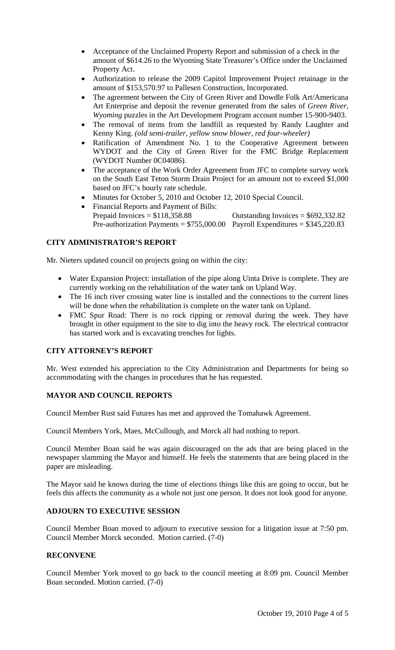- Acceptance of the Unclaimed Property Report and submission of a check in the amount of \$614.26 to the Wyoming State Treasurer's Office under the Unclaimed Property Act.
- Authorization to release the 2009 Capitol Improvement Project retainage in the amount of \$153,570.97 to Pallesen Construction, Incorporated.
- The agreement between the City of Green River and Dowdle Folk Art/Americana Art Enterprise and deposit the revenue generated from the sales of *Green River, Wyoming* puzzles in the Art Development Program account number 15-900-9403.
- The removal of items from the landfill as requested by Randy Laughter and Kenny King. *(old semi-trailer, yellow snow blower, red four-wheeler)*
- Ratification of Amendment No. 1 to the Cooperative Agreement between WYDOT and the City of Green River for the FMC Bridge Replacement (WYDOT Number 0C04086).
- The acceptance of the Work Order Agreement from JFC to complete survey work on the South East Teton Storm Drain Project for an amount not to exceed \$1,000 based on JFC's hourly rate schedule.
- Minutes for October 5, 2010 and October 12, 2010 Special Council.
- Financial Reports and Payment of Bills: Prepaid Invoices =  $$118,358.88$  Outstanding Invoices =  $$692,332.82$ Pre-authorization Payments =  $$755,000.00$  Payroll Expenditures =  $$345,220.83$

# **CITY ADMINISTRATOR'S REPORT**

Mr. Nieters updated council on projects going on within the city:

- Water Expansion Project: installation of the pipe along Uinta Drive is complete. They are currently working on the rehabilitation of the water tank on Upland Way.
- The 16 inch river crossing water line is installed and the connections to the current lines will be done when the rehabilitation is complete on the water tank on Upland.
- FMC Spur Road: There is no rock ripping or removal during the week. They have brought in other equipment to the site to dig into the heavy rock. The electrical contractor has started work and is excavating trenches for lights.

# **CITY ATTORNEY'S REPORT**

Mr. West extended his appreciation to the City Administration and Departments for being so accommodating with the changes in procedures that he has requested.

# **MAYOR AND COUNCIL REPORTS**

Council Member Rust said Futures has met and approved the Tomahawk Agreement.

Council Members York, Maes, McCullough, and Morck all had nothing to report.

Council Member Boan said he was again discouraged on the ads that are being placed in the newspaper slamming the Mayor and himself. He feels the statements that are being placed in the paper are misleading.

The Mayor said he knows during the time of elections things like this are going to occur, but he feels this affects the community as a whole not just one person. It does not look good for anyone.

# **ADJOURN TO EXECUTIVE SESSION**

Council Member Boan moved to adjourn to executive session for a litigation issue at 7:50 pm. Council Member Morck seconded. Motion carried. (7-0)

# **RECONVENE**

Council Member York moved to go back to the council meeting at 8:09 pm. Council Member Boan seconded. Motion carried. (7-0)